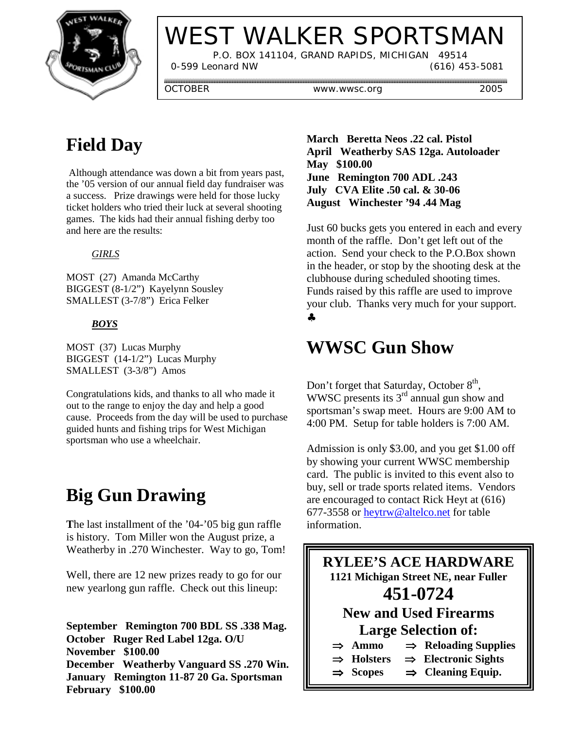

# WEST WALKER SPORTSMAN

 P.O. BOX 141104, GRAND RAPIDS, MICHIGAN 49514 0-599 Leonard NW (616) 453-5081

OCTOBER www.wwsc.org 2005

### **Field Day**

 Although attendance was down a bit from years past, the '05 version of our annual field day fundraiser was a success. Prize drawings were held for those lucky ticket holders who tried their luck at several shooting games. The kids had their annual fishing derby too and here are the results:

#### *GIRLS*

MOST (27) Amanda McCarthy BIGGEST (8-1/2") Kayelynn Sousley SMALLEST (3-7/8") Erica Felker

#### *BOYS*

MOST (37) Lucas Murphy BIGGEST (14-1/2") Lucas Murphy SMALLEST (3-3/8") Amos

Congratulations kids, and thanks to all who made it out to the range to enjoy the day and help a good cause. Proceeds from the day will be used to purchase guided hunts and fishing trips for West Michigan sportsman who use a wheelchair.

### **Big Gun Drawing**

**T**he last installment of the '04-'05 big gun raffle is history. Tom Miller won the August prize, a Weatherby in .270 Winchester. Way to go, Tom!

Well, there are 12 new prizes ready to go for our new yearlong gun raffle. Check out this lineup:

**September Remington 700 BDL SS .338 Mag. October Ruger Red Label 12ga. O/U November \$100.00 December Weatherby Vanguard SS .270 Win. January Remington 11-87 20 Ga. Sportsman February \$100.00**

**March Beretta Neos .22 cal. Pistol April Weatherby SAS 12ga. Autoloader May \$100.00 June Remington 700 ADL .243 July CVA Elite .50 cal. & 30-06 August Winchester '94 .44 Mag**

Just 60 bucks gets you entered in each and every month of the raffle. Don't get left out of the action. Send your check to the P.O.Box shown in the header, or stop by the shooting desk at the clubhouse during scheduled shooting times. Funds raised by this raffle are used to improve your club. Thanks very much for your support. ♣

#### **WWSC Gun Show**

Don't forget that Saturday, October  $8<sup>th</sup>$ , WWSC presents its 3<sup>rd</sup> annual gun show and sportsman's swap meet. Hours are 9:00 AM to 4:00 PM. Setup for table holders is 7:00 AM.

Admission is only \$3.00, and you get \$1.00 off by showing your current WWSC membership card. The public is invited to this event also to buy, sell or trade sports related items. Vendors are encouraged to contact Rick Heyt at (616) 677-3558 or heytrw@altelco.net for table information.

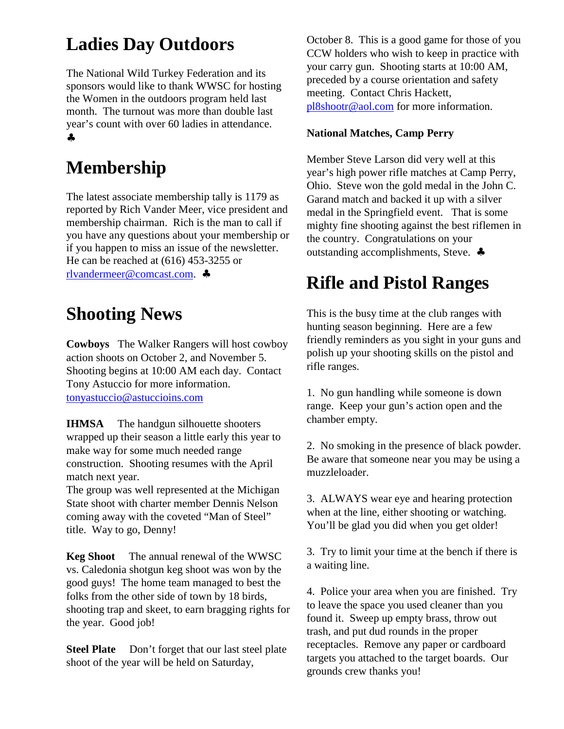# **Ladies Day Outdoors**

The National Wild Turkey Federation and its sponsors would like to thank WWSC for hosting the Women in the outdoors program held last month. The turnout was more than double last year's count with over 60 ladies in attendance. ♣

# **Membership**

The latest associate membership tally is 1179 as reported by Rich Vander Meer, vice president and membership chairman. Rich is the man to call if you have any questions about your membership or if you happen to miss an issue of the newsletter. He can be reached at (616) 453-3255 or rlvandermeer@comcast.com. ♣

### **Shooting News**

**Cowboys** The Walker Rangers will host cowboy action shoots on October 2, and November 5. Shooting begins at 10:00 AM each day. Contact Tony Astuccio for more information. tonyastuccio@astuccioins.com

**IHMSA** The handgun silhouette shooters wrapped up their season a little early this year to make way for some much needed range construction. Shooting resumes with the April match next year.

The group was well represented at the Michigan State shoot with charter member Dennis Nelson coming away with the coveted "Man of Steel" title. Way to go, Denny!

**Keg Shoot** The annual renewal of the WWSC vs. Caledonia shotgun keg shoot was won by the good guys! The home team managed to best the folks from the other side of town by 18 birds, shooting trap and skeet, to earn bragging rights for the year. Good job!

**Steel Plate** Don't forget that our last steel plate shoot of the year will be held on Saturday,

October 8. This is a good game for those of you CCW holders who wish to keep in practice with your carry gun. Shooting starts at 10:00 AM, preceded by a course orientation and safety meeting. Contact Chris Hackett, pl8shootr@aol.com for more information.

#### **National Matches, Camp Perry**

Member Steve Larson did very well at this year's high power rifle matches at Camp Perry, Ohio. Steve won the gold medal in the John C. Garand match and backed it up with a silver medal in the Springfield event. That is some mighty fine shooting against the best riflemen in the country. Congratulations on your outstanding accomplishments, Steve. ♣

## **Rifle and Pistol Ranges**

This is the busy time at the club ranges with hunting season beginning. Here are a few friendly reminders as you sight in your guns and polish up your shooting skills on the pistol and rifle ranges.

1. No gun handling while someone is down range. Keep your gun's action open and the chamber empty.

2. No smoking in the presence of black powder. Be aware that someone near you may be using a muzzleloader.

3. ALWAYS wear eye and hearing protection when at the line, either shooting or watching. You'll be glad you did when you get older!

3. Try to limit your time at the bench if there is a waiting line.

4. Police your area when you are finished. Try to leave the space you used cleaner than you found it. Sweep up empty brass, throw out trash, and put dud rounds in the proper receptacles. Remove any paper or cardboard targets you attached to the target boards. Our grounds crew thanks you!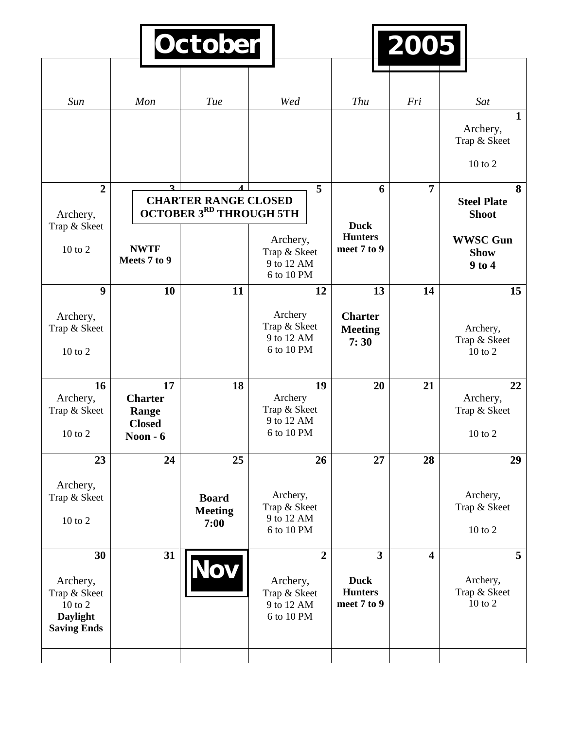| Sun                                                                                | Mon                                                         | Tue                                                           | Wed                                                                    | Thu                                                                     | Fri                     | Sat                                                                                     |
|------------------------------------------------------------------------------------|-------------------------------------------------------------|---------------------------------------------------------------|------------------------------------------------------------------------|-------------------------------------------------------------------------|-------------------------|-----------------------------------------------------------------------------------------|
|                                                                                    |                                                             |                                                               |                                                                        |                                                                         |                         | $\mathbf{1}$<br>Archery,<br>Trap & Skeet<br>$10$ to $2$                                 |
| $\overline{2}$<br>Archery,<br>Trap & Skeet<br>10 to 2                              | $\mathbf{a}$<br><b>NWTF</b><br>Meets 7 to 9                 | <b>CHARTER RANGE CLOSED</b><br><b>OCTOBER 3RD THROUGH 5TH</b> | 5<br>Archery,<br>Trap & Skeet<br>9 to 12 AM                            | 6<br><b>Duck</b><br><b>Hunters</b><br>meet 7 to 9                       | 7                       | 8<br><b>Steel Plate</b><br><b>Shoot</b><br><b>WWSC Gun</b><br><b>Show</b><br>$9$ to $4$ |
| 9                                                                                  | 10                                                          | 11                                                            | 6 to 10 PM<br>12                                                       | 13                                                                      | 14                      | 15                                                                                      |
| Archery,<br>Trap & Skeet<br>10 to 2                                                |                                                             |                                                               | Archery<br>Trap & Skeet<br>9 to 12 AM<br>6 to 10 PM                    | <b>Charter</b><br><b>Meeting</b><br>7:30                                |                         | Archery,<br>Trap & Skeet<br>10 to 2                                                     |
| 16<br>Archery,<br>Trap & Skeet<br>10 to 2                                          | 17<br><b>Charter</b><br>Range<br><b>Closed</b><br>Noon $-6$ | 18                                                            | 19<br>Archery<br>Trap & Skeet<br>9 to 12 AM<br>6 to 10 PM              | 20                                                                      | 21                      | 22<br>Archery,<br>Trap & Skeet<br>$10$ to $2$                                           |
| 23                                                                                 | 24                                                          | 25                                                            | 26                                                                     | 27                                                                      | 28                      | 29                                                                                      |
| Archery,<br>Trap & Skeet<br>10 to 2                                                |                                                             | <b>Board</b><br><b>Meeting</b><br>7:00                        | Archery,<br>Trap & Skeet<br>9 to 12 AM<br>6 to 10 PM                   |                                                                         |                         | Archery,<br>Trap & Skeet<br>$10$ to $2$                                                 |
| 30<br>Archery,<br>Trap & Skeet<br>10 to 2<br><b>Daylight</b><br><b>Saving Ends</b> | 31                                                          | Nov                                                           | $\overline{2}$<br>Archery,<br>Trap & Skeet<br>9 to 12 AM<br>6 to 10 PM | $\overline{\mathbf{3}}$<br><b>Duck</b><br><b>Hunters</b><br>meet 7 to 9 | $\overline{\mathbf{4}}$ | 5<br>Archery,<br>Trap & Skeet<br>10 to 2                                                |